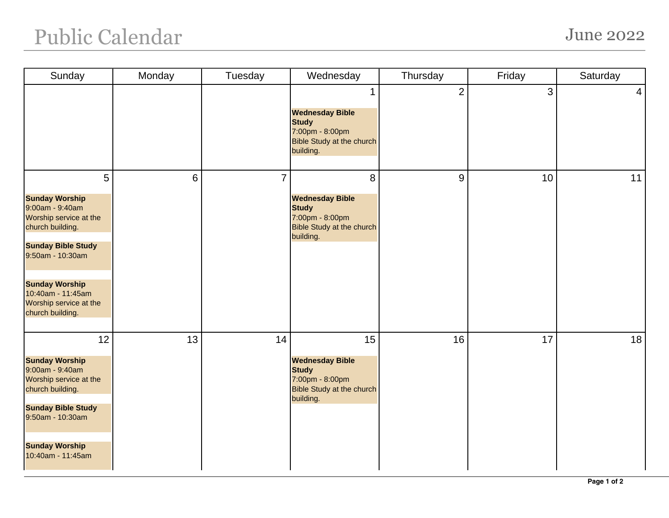## Public Calendar June 2022

| Sunday                                                                                                                                                                                                                                   | Monday | Tuesday        | Wednesday                                                                                                        | Thursday       | Friday | Saturday       |
|------------------------------------------------------------------------------------------------------------------------------------------------------------------------------------------------------------------------------------------|--------|----------------|------------------------------------------------------------------------------------------------------------------|----------------|--------|----------------|
|                                                                                                                                                                                                                                          |        |                | 1<br><b>Wednesday Bible</b><br><b>Study</b><br>7:00pm - 8:00pm<br><b>Bible Study at the church</b><br>building.  | $\overline{2}$ | 3      | $\overline{4}$ |
| 5<br><b>Sunday Worship</b><br>9:00am - 9:40am<br>Worship service at the<br>church building.<br><b>Sunday Bible Study</b><br>9:50am - 10:30am<br><b>Sunday Worship</b><br>10:40am - 11:45am<br>Worship service at the<br>church building. | 6      | $\overline{7}$ | 8<br><b>Wednesday Bible</b><br><b>Study</b><br>7:00pm - 8:00pm<br><b>Bible Study at the church</b><br>building.  | 9              | 10     | 11             |
| 12<br><b>Sunday Worship</b><br>9:00am - 9:40am<br>Worship service at the<br>church building.<br><b>Sunday Bible Study</b><br>9:50am - 10:30am<br><b>Sunday Worship</b><br>10:40am - 11:45am                                              | 13     | 14             | 15<br><b>Wednesday Bible</b><br><b>Study</b><br>7:00pm - 8:00pm<br><b>Bible Study at the church</b><br>building. | 16             | 17     | 18             |